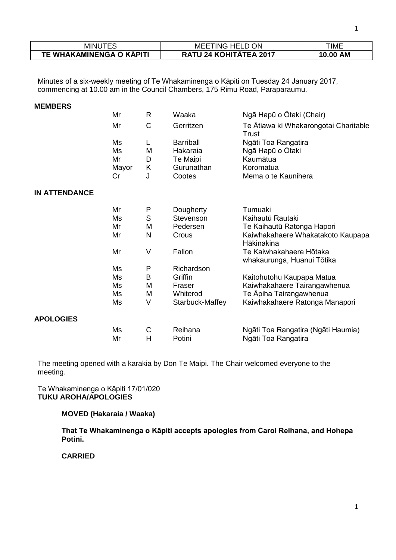| MINU                     | ON<br>TING HELD (<br>MEE | ΓΙΜΕ               |
|--------------------------|--------------------------|--------------------|
| TE WHAKAMINENGA O KĀPITI | 24 KOHITĀTEA 2017        | <b>AM</b><br>10.00 |

Minutes of a six-weekly meeting of Te Whakaminenga o Kāpiti on Tuesday 24 January 2017, commencing at 10.00 am in the Council Chambers, 175 Rimu Road, Paraparaumu.

| <b>MEMBERS</b>       |                               |                       |                                                                  |                                                                                         |
|----------------------|-------------------------------|-----------------------|------------------------------------------------------------------|-----------------------------------------------------------------------------------------|
|                      | Mr                            | R                     | Waaka                                                            | Ngā Hapū o Ōtaki (Chair)                                                                |
|                      | Mr                            | C                     | Gerritzen                                                        | Te Atiawa ki Whakarongotai Charitable<br>Trust                                          |
|                      | Ms<br>Ms<br>Mr<br>Mayor<br>Cr | L<br>M<br>D<br>K<br>J | <b>Barriball</b><br>Hakaraia<br>Te Maipi<br>Gurunathan<br>Cootes | Ngāti Toa Rangatira<br>Ngā Hapū o Ōtaki<br>Kaumātua<br>Koromatua<br>Mema o te Kaunihera |
| <b>IN ATTENDANCE</b> |                               |                       |                                                                  |                                                                                         |
|                      | Mr                            | P                     | Dougherty                                                        | Tumuaki                                                                                 |
|                      | Ms                            | S                     | Stevenson                                                        | Kaihautū Rautaki                                                                        |
|                      | Mr                            | M                     | Pedersen                                                         | Te Kaihautū Ratonga Hapori                                                              |
|                      | Mr                            | N                     | Crous                                                            | Kaiwhakahaere Whakatakoto Kaupapa<br>Hākinakina                                         |
|                      | Mr                            | V                     | Fallon                                                           | Te Kaiwhakahaere Hōtaka<br>whakaurunga, Huanui Tōtika                                   |
|                      | Ms                            | P                     | Richardson                                                       |                                                                                         |
|                      | Ms                            | B                     | Griffin                                                          | Kaitohutohu Kaupapa Matua                                                               |
|                      | Ms                            | M                     | Fraser                                                           | Kaiwhakahaere Tairangawhenua                                                            |
|                      | Ms                            | M                     | Whiterod                                                         | Te Āpiha Tairangawhenua                                                                 |
|                      | Ms                            | V                     | Starbuck-Maffey                                                  | Kaiwhakahaere Ratonga Manapori                                                          |
| <b>APOLOGIES</b>     |                               |                       |                                                                  |                                                                                         |
|                      | Ms<br>Mr                      | $\mathsf C$<br>H      | Reihana<br>Potini                                                | Ngāti Toa Rangatira (Ngāti Haumia)<br>Ngāti Toa Rangatira                               |

The meeting opened with a karakia by Don Te Maipi. The Chair welcomed everyone to the meeting.

Te Whakaminenga o Kāpiti 17/01/020 **TUKU AROHA/APOLOGIES**

## **MOVED (Hakaraia / Waaka)**

**That Te Whakaminenga o Kāpiti accepts apologies from Carol Reihana, and Hohepa Potini.** 

**CARRIED**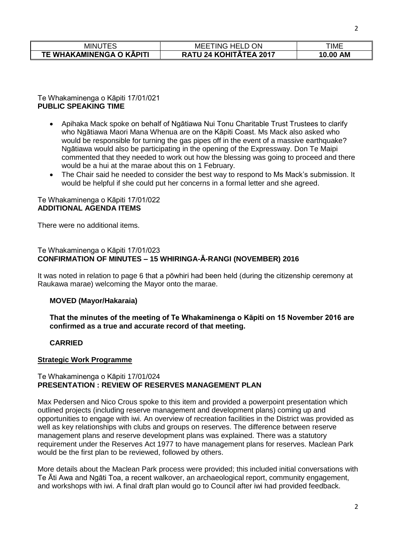| 'INUTES<br>- IVII.       | ΟN<br>. HELD.<br>MEE<br>TING I | ΓΙΜΕ               |
|--------------------------|--------------------------------|--------------------|
| TE WHAKAMINENGA O KĀPITI | <b>RATU 24 KOHITATEA 2017</b>  | <b>AM</b><br>10.00 |

Te Whakaminenga o Kāpiti 17/01/021 **PUBLIC SPEAKING TIME**

- Apihaka Mack spoke on behalf of Ngātiawa Nui Tonu Charitable Trust Trustees to clarify who Ngātiawa Maori Mana Whenua are on the Kāpiti Coast. Ms Mack also asked who would be responsible for turning the gas pipes off in the event of a massive earthquake? Ngātiawa would also be participating in the opening of the Expressway. Don Te Maipi commented that they needed to work out how the blessing was going to proceed and there would be a hui at the marae about this on 1 February.
- The Chair said he needed to consider the best way to respond to Ms Mack's submission. It would be helpful if she could put her concerns in a formal letter and she agreed.

#### Te Whakaminenga o Kāpiti 17/01/022 **ADDITIONAL AGENDA ITEMS**

There were no additional items.

### Te Whakaminenga o Kāpiti 17/01/023 **CONFIRMATION OF MINUTES – 15 WHIRINGA-Ā-RANGI (NOVEMBER) 2016**

It was noted in relation to page 6 that a pōwhiri had been held (during the citizenship ceremony at Raukawa marae) welcoming the Mayor onto the marae.

## **MOVED (Mayor/Hakaraia)**

**That the minutes of the meeting of Te Whakaminenga o Kāpiti on 15 November 2016 are confirmed as a true and accurate record of that meeting.**

## **CARRIED**

#### **Strategic Work Programme**

#### Te Whakaminenga o Kāpiti 17/01/024 **PRESENTATION : REVIEW OF RESERVES MANAGEMENT PLAN**

Max Pedersen and Nico Crous spoke to this item and provided a powerpoint presentation which outlined projects (including reserve management and development plans) coming up and opportunities to engage with iwi. An overview of recreation facilities in the District was provided as well as key relationships with clubs and groups on reserves. The difference between reserve management plans and reserve development plans was explained. There was a statutory requirement under the Reserves Act 1977 to have management plans for reserves. Maclean Park would be the first plan to be reviewed, followed by others.

More details about the Maclean Park process were provided; this included initial conversations with Te Āti Awa and Ngāti Toa, a recent walkover, an archaeological report, community engagement, and workshops with iwi. A final draft plan would go to Council after iwi had provided feedback.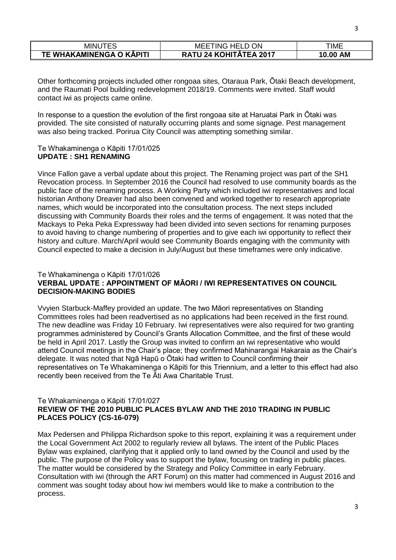| <b>MINUTES</b>           | <b>ON</b><br>TING HELD<br>MEE | TIME               |
|--------------------------|-------------------------------|--------------------|
| TE WHAKAMINENGA O KAPITI | <b>RATU 24 KOHITATEA 2017</b> | <b>AM</b><br>10.00 |

Other forthcoming projects included other rongoaa sites, Otaraua Park, Ōtaki Beach development, and the Raumati Pool building redevelopment 2018/19. Comments were invited. Staff would contact iwi as projects came online.

In response to a question the evolution of the first rongoaa site at Haruatai Park in Ōtaki was provided. The site consisted of naturally occurring plants and some signage. Pest management was also being tracked. Porirua City Council was attempting something similar.

### Te Whakaminenga o Kāpiti 17/01/025 **UPDATE : SH1 RENAMING**

Vince Fallon gave a verbal update about this project. The Renaming project was part of the SH1 Revocation process. In September 2016 the Council had resolved to use community boards as the public face of the renaming process. A Working Party which included iwi representatives and local historian Anthony Dreaver had also been convened and worked together to research appropriate names, which would be incorporated into the consultation process. The next steps included discussing with Community Boards their roles and the terms of engagement. It was noted that the Mackays to Peka Peka Expressway had been divided into seven sections for renaming purposes to avoid having to change numbering of properties and to give each iwi opportunity to reflect their history and culture. March/April would see Community Boards engaging with the community with Council expected to make a decision in July/August but these timeframes were only indicative.

## Te Whakaminenga o Kāpiti 17/01/026 **VERBAL UPDATE : APPOINTMENT OF MĀORI / IWI REPRESENTATIVES ON COUNCIL DECISION-MAKING BODIES**

Vvyien Starbuck-Maffey provided an update. The two Māori representatives on Standing Committees roles had been readvertised as no applications had been received in the first round. The new deadline was Friday 10 February. Iwi representatives were also required for two granting programmes administered by Council's Grants Allocation Committee, and the first of these would be held in April 2017. Lastly the Group was invited to confirm an iwi representative who would attend Council meetings in the Chair's place; they confirmed Mahinarangai Hakaraia as the Chair's delegate. It was noted that Ngā Hapū o Ōtaki had written to Council confirming their representatives on Te Whakaminenga o Kāpiti for this Triennium, and a letter to this effect had also recently been received from the Te Āti Awa Charitable Trust.

## Te Whakaminenga o Kāpiti 17/01/027 **REVIEW OF THE 2010 PUBLIC PLACES BYLAW AND THE 2010 TRADING IN PUBLIC PLACES POLICY (CS-16-079)**

Max Pedersen and Philippa Richardson spoke to this report, explaining it was a requirement under the Local Government Act 2002 to regularly review all bylaws. The intent of the Public Places Bylaw was explained, clarifying that it applied only to land owned by the Council and used by the public. The purpose of the Policy was to support the bylaw, focusing on trading in public places. The matter would be considered by the Strategy and Policy Committee in early February. Consultation with iwi (through the ART Forum) on this matter had commenced in August 2016 and comment was sought today about how iwi members would like to make a contribution to the process.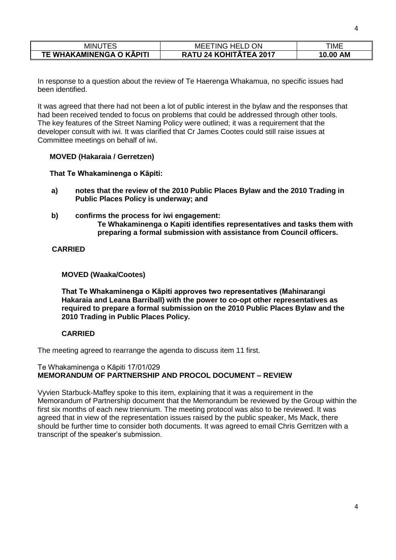| <b>MINUTES</b>           | ON<br><b>MEETING HELD</b>     | rime        |
|--------------------------|-------------------------------|-------------|
| TE WHAKAMINENGA O KĀPITI | <b>RATU 24 KOHITATEA 2017</b> | AM<br>10.00 |

In response to a question about the review of Te Haerenga Whakamua, no specific issues had been identified.

It was agreed that there had not been a lot of public interest in the bylaw and the responses that had been received tended to focus on problems that could be addressed through other tools. The key features of the Street Naming Policy were outlined; it was a requirement that the developer consult with iwi. It was clarified that Cr James Cootes could still raise issues at Committee meetings on behalf of iwi.

### **MOVED (Hakaraia / Gerretzen)**

**That Te Whakaminenga o Kāpiti:**

- **a) notes that the review of the 2010 Public Places Bylaw and the 2010 Trading in Public Places Policy is underway; and**
- **b) confirms the process for iwi engagement: Te Whakaminenga o Kapiti identifies representatives and tasks them with preparing a formal submission with assistance from Council officers.**

### **CARRIED**

#### **MOVED (Waaka/Cootes)**

**That Te Whakaminenga o Kāpiti approves two representatives (Mahinarangi Hakaraia and Leana Barriball) with the power to co-opt other representatives as required to prepare a formal submission on the 2010 Public Places Bylaw and the 2010 Trading in Public Places Policy.**

#### **CARRIED**

The meeting agreed to rearrange the agenda to discuss item 11 first.

#### Te Whakaminenga o Kāpiti 17/01/029 **MEMORANDUM OF PARTNERSHIP AND PROCOL DOCUMENT – REVIEW**

Vyvien Starbuck-Maffey spoke to this item, explaining that it was a requirement in the Memorandum of Partnership document that the Memorandum be reviewed by the Group within the first six months of each new triennium. The meeting protocol was also to be reviewed. It was agreed that in view of the representation issues raised by the public speaker, Ms Mack, there should be further time to consider both documents. It was agreed to email Chris Gerritzen with a transcript of the speaker's submission.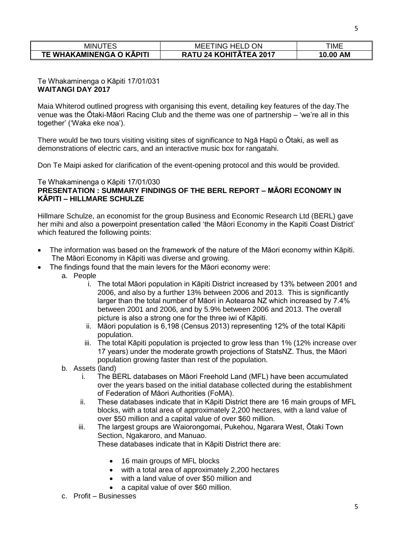| <b>MINUTES</b>           | ΟN<br>MEE<br>TING<br><b>HFL</b> | ΓΙΜΕ               |
|--------------------------|---------------------------------|--------------------|
| TE WHAKAMINENGA O KAPITI | <b>RATU 24 KOHITATEA 2017</b>   | <b>AM</b><br>10.00 |

### Te Whakaminenga o Kāpiti 17/01/031 **WAITANGI DAY 2017**

Maia Whiterod outlined progress with organising this event, detailing key features of the day.The venue was the Ōtaki-Māori Racing Club and the theme was one of partnership – 'we're all in this together' ('Waka eke noa').

There would be two tours visiting visiting sites of significance to Ngā Hapū o Ōtaki, as well as demonstrations of electric cars, and an interactive music box for rangatahi.

Don Te Maipi asked for clarification of the event-opening protocol and this would be provided.

#### Te Whakaminenga o Kāpiti 17/01/030 **PRESENTATION : SUMMARY FINDINGS OF THE BERL REPORT – MĀORI ECONOMY IN KĀPITI – HILLMARE SCHULZE**

Hillmare Schulze, an economist for the group Business and Economic Research Ltd (BERL) gave her mihi and also a powerpoint presentation called 'the Māori Economy in the Kapiti Coast District' which featured the following points:

- The information was based on the framework of the nature of the Māori economy within Kāpiti. The Māori Economy in Kāpiti was diverse and growing.
- The findings found that the main levers for the Māori economy were:
	- a. People
		- i. The total Māori population in Kāpiti District increased by 13% between 2001 and 2006, and also by a further 13% between 2006 and 2013. This is significantly larger than the total number of Māori in Aotearoa NZ which increased by 7.4% between 2001 and 2006, and by 5.9% between 2006 and 2013. The overall picture is also a strong one for the three iwi of Kāpiti.
		- ii. Māori population is 6,198 (Census 2013) representing 12% of the total Kāpiti population.
		- iii. The total Kāpiti population is projected to grow less than 1% (12% increase over 17 years) under the moderate growth projections of StatsNZ. Thus, the Māori population growing faster than rest of the population.
	- b. Assets (land)
		- i. The BERL databases on Māori Freehold Land (MFL) have been accumulated over the years based on the initial database collected during the establishment of Federation of Māori Authorities (FoMA).
		- ii. These databases indicate that in Kāpiti District there are 16 main groups of MFL blocks, with a total area of approximately 2,200 hectares, with a land value of over \$50 million and a capital value of over \$60 million.
		- iii. The largest groups are Waiorongomai, Pukehou, Ngarara West, Ōtaki Town Section, Ngakaroro, and Manuao. These databases indicate that in Kāpiti District there are:
			- 16 main groups of MFL blocks
			- with a total area of approximately 2,200 hectares
			- with a land value of over \$50 million and
			- a capital value of over \$60 million.
	- c. Profit Businesses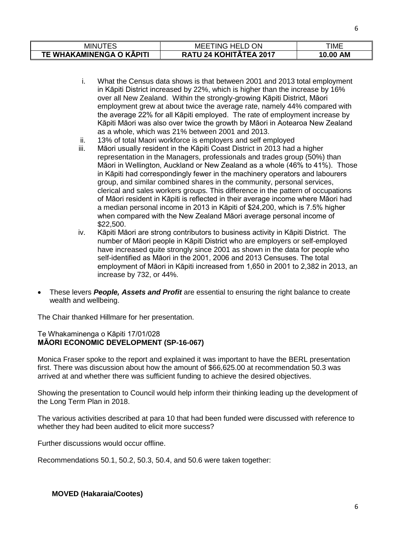| MINU                     | <b>MEETING HELD ON</b>        | TIME        |
|--------------------------|-------------------------------|-------------|
| TE WHAKAMINENGA O KĀPITI | <b>RATU 24 KOHITĀTEA 2017</b> | AM<br>10.00 |

- i. What the Census data shows is that between 2001 and 2013 total employment in Kāpiti District increased by 22%, which is higher than the increase by 16% over all New Zealand. Within the strongly-growing Kāpiti District, Māori employment grew at about twice the average rate, namely 44% compared with the average 22% for all Kāpiti employed. The rate of employment increase by Kāpiti Māori was also over twice the growth by Māori in Aotearoa New Zealand as a whole, which was 21% between 2001 and 2013.
- ii. 13% of total Maori workforce is employers and self employed
- iii. Māori usually resident in the Kāpiti Coast District in 2013 had a higher representation in the Managers, professionals and trades group (50%) than Māori in Wellington, Auckland or New Zealand as a whole (46% to 41%). Those in Kāpiti had correspondingly fewer in the machinery operators and labourers group, and similar combined shares in the community, personal services, clerical and sales workers groups. This difference in the pattern of occupations of Māori resident in Kāpiti is reflected in their average income where Māori had a median personal income in 2013 in Kāpiti of \$24,200, which is 7.5% higher when compared with the New Zealand Māori average personal income of \$22,500.
- iv. Kāpiti Māori are strong contributors to business activity in Kāpiti District. The number of Māori people in Kāpiti District who are employers or self-employed have increased quite strongly since 2001 as shown in the data for people who self-identified as Māori in the 2001, 2006 and 2013 Censuses. The total employment of Māori in Kāpiti increased from 1,650 in 2001 to 2,382 in 2013, an increase by 732, or 44%.
- These levers *People, Assets and Profit* are essential to ensuring the right balance to create wealth and wellbeing.

The Chair thanked Hillmare for her presentation.

## Te Whakaminenga o Kāpiti 17/01/028 **MĀORI ECONOMIC DEVELOPMENT (SP-16-067)**

Monica Fraser spoke to the report and explained it was important to have the BERL presentation first. There was discussion about how the amount of \$66,625.00 at recommendation 50.3 was arrived at and whether there was sufficient funding to achieve the desired objectives.

Showing the presentation to Council would help inform their thinking leading up the development of the Long Term Plan in 2018.

The various activities described at para 10 that had been funded were discussed with reference to whether they had been audited to elicit more success?

Further discussions would occur offline.

Recommendations 50.1, 50.2, 50.3, 50.4, and 50.6 were taken together:

## **MOVED (Hakaraia/Cootes)**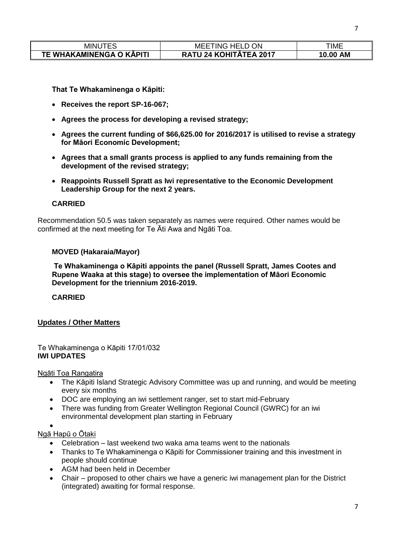| <b>MINUTES</b>           | <b>MEETING HELD (</b><br>ΟN   | TIME               |
|--------------------------|-------------------------------|--------------------|
| TE WHAKAMINENGA O KĀPITI | <b>RATU 24 KOHITĀTEA 2017</b> | <b>AM</b><br>10.00 |

**That Te Whakaminenga o Kāpiti:**

- **Receives the report SP-16-067;**
- **Agrees the process for developing a revised strategy;**
- **Agrees the current funding of \$66,625.00 for 2016/2017 is utilised to revise a strategy for Māori Economic Development;**
- **Agrees that a small grants process is applied to any funds remaining from the development of the revised strategy;**
- **Reappoints Russell Spratt as Iwi representative to the Economic Development Leadership Group for the next 2 years.**

## **CARRIED**

Recommendation 50.5 was taken separately as names were required. Other names would be confirmed at the next meeting for Te Āti Awa and Ngāti Toa.

### **MOVED (Hakaraia/Mayor)**

**Te Whakaminenga o Kāpiti appoints the panel (Russell Spratt, James Cootes and Rupene Waaka at this stage) to oversee the implementation of Māori Economic Development for the triennium 2016-2019.**

## **CARRIED**

## **Updates / Other Matters**

### Te Whakaminenga o Kāpiti 17/01/032 **IWI UPDATES**

Ngāti Toa Rangatira

- The Kāpiti Island Strategic Advisory Committee was up and running, and would be meeting every six months
- DOC are employing an iwi settlement ranger, set to start mid-February
- There was funding from Greater Wellington Regional Council (GWRC) for an iwi environmental development plan starting in February
- $\bullet$

# Ngā Hapū o Ōtaki

- Celebration last weekend two waka ama teams went to the nationals
- Thanks to Te Whakaminenga o Kāpiti for Commissioner training and this investment in people should continue
- AGM had been held in December
- Chair proposed to other chairs we have a generic iwi management plan for the District (integrated) awaiting for formal response.

7